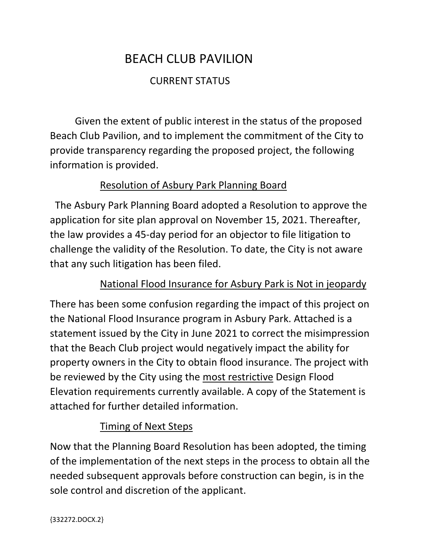# BEACH CLUB PAVILION

## CURRENT STATUS

Given the extent of public interest in the status of the proposed Beach Club Pavilion, and to implement the commitment of the City to provide transparency regarding the proposed project, the following information is provided.

### Resolution of Asbury Park Planning Board

 The Asbury Park Planning Board adopted a Resolution to approve the application for site plan approval on November 15, 2021. Thereafter, the law provides a 45-day period for an objector to file litigation to challenge the validity of the Resolution. To date, the City is not aware that any such litigation has been filed.

### National Flood Insurance for Asbury Park is Not in jeopardy

There has been some confusion regarding the impact of this project on the National Flood Insurance program in Asbury Park. Attached is a statement issued by the City in June 2021 to correct the misimpression that the Beach Club project would negatively impact the ability for property owners in the City to obtain flood insurance. The project with be reviewed by the City using the most restrictive Design Flood Elevation requirements currently available. A copy of the Statement is attached for further detailed information.

### Timing of Next Steps

Now that the Planning Board Resolution has been adopted, the timing of the implementation of the next steps in the process to obtain all the needed subsequent approvals before construction can begin, is in the sole control and discretion of the applicant.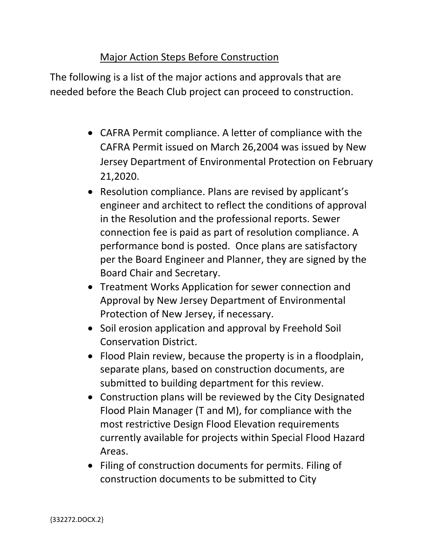#### Major Action Steps Before Construction

The following is a list of the major actions and approvals that are needed before the Beach Club project can proceed to construction.

- CAFRA Permit compliance. A letter of compliance with the CAFRA Permit issued on March 26,2004 was issued by New Jersey Department of Environmental Protection on February 21,2020.
- Resolution compliance. Plans are revised by applicant's engineer and architect to reflect the conditions of approval in the Resolution and the professional reports. Sewer connection fee is paid as part of resolution compliance. A performance bond is posted. Once plans are satisfactory per the Board Engineer and Planner, they are signed by the Board Chair and Secretary.
- Treatment Works Application for sewer connection and Approval by New Jersey Department of Environmental Protection of New Jersey, if necessary.
- Soil erosion application and approval by Freehold Soil Conservation District.
- Flood Plain review, because the property is in a floodplain, separate plans, based on construction documents, are submitted to building department for this review.
- Construction plans will be reviewed by the City Designated Flood Plain Manager (T and M), for compliance with the most restrictive Design Flood Elevation requirements currently available for projects within Special Flood Hazard Areas.
- Filing of construction documents for permits. Filing of construction documents to be submitted to City